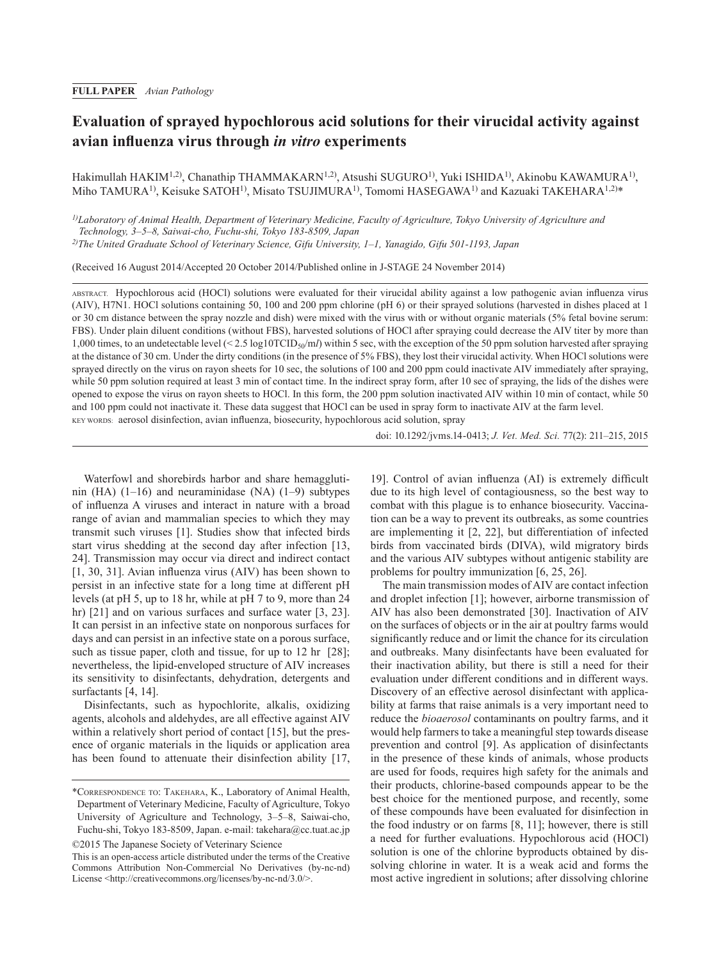# **Evaluation of sprayed hypochlorous acid solutions for their virucidal activity against avian influenza virus through** *in vitro* **experiments**

Hakimullah HAKIM1,2), Chanathip THAMMAKARN1,2), Atsushi SUGURO1), Yuki ISHIDA1), Akinobu KAWAMURA1), Miho TAMURA<sup>1)</sup>, Keisuke SATOH<sup>1)</sup>, Misato TSUJIMURA<sup>1)</sup>, Tomomi HASEGAWA<sup>1)</sup> and Kazuaki TAKEHARA<sup>1,2)\*</sup>

*1)Laboratory of Animal Health, Department of Veterinary Medicine, Faculty of Agriculture, Tokyo University of Agriculture and Technology, 3–5–8, Saiwai-cho, Fuchu-shi, Tokyo 183-8509, Japan*

*2)The United Graduate School of Veterinary Science, Gifu University, 1–1, Yanagido, Gifu 501-1193, Japan*

(Received 16 August 2014/Accepted 20 October 2014/Published online in J-STAGE 24 November 2014)

ABSTRACT. Hypochlorous acid (HOCl) solutions were evaluated for their virucidal ability against a low pathogenic avian influenza virus (AIV), H7N1. HOCl solutions containing 50, 100 and 200 ppm chlorine (pH 6) or their sprayed solutions (harvested in dishes placed at 1 or 30 cm distance between the spray nozzle and dish) were mixed with the virus with or without organic materials (5% fetal bovine serum: FBS). Under plain diluent conditions (without FBS), harvested solutions of HOCl after spraying could decrease the AIV titer by more than 1,000 times, to an undetectable level (< 2.5 log10TCID<sub>50</sub>/ml) within 5 sec, with the exception of the 50 ppm solution harvested after spraying at the distance of 30 cm. Under the dirty conditions (in the presence of 5% FBS), they lost their virucidal activity. When HOCl solutions were sprayed directly on the virus on rayon sheets for 10 sec, the solutions of 100 and 200 ppm could inactivate AIV immediately after spraying, while 50 ppm solution required at least 3 min of contact time. In the indirect spray form, after 10 sec of spraying, the lids of the dishes were opened to expose the virus on rayon sheets to HOCl. In this form, the 200 ppm solution inactivated AIV within 10 min of contact, while 50 and 100 ppm could not inactivate it. These data suggest that HOCl can be used in spray form to inactivate AIV at the farm level. Key words: aerosol disinfection, avian influenza, biosecurity, hypochlorous acid solution, spray

doi: 10.1292/jvms.14-0413; *J. Vet. Med. Sci.* 77(2): 211–215, 2015

Waterfowl and shorebirds harbor and share hemagglutinin (HA) (1–16) and neuraminidase (NA) (1–9) subtypes of influenza A viruses and interact in nature with a broad range of avian and mammalian species to which they may transmit such viruses [\[1\]](#page-3-0). Studies show that infected birds start virus shedding at the second day after infection [\[13,](#page-4-0) [24](#page-4-0)]. Transmission may occur via direct and indirect contact [1, [30,](#page-3-0) 31]. Avian influenza virus (AIV) has been shown to persist in an infective state for a long time at different pH levels (at pH 5, up to 18 hr, while at pH 7 to 9, more than 24 hr) [\[21\]](#page-4-1) and on various surfaces and surface water [[3, 23\]](#page-3-1). It can persist in an infective state on nonporous surfaces for days and can persist in an infective state on a porous surface, such as tissue paper, cloth and tissue, for up to 12 hr [[28](#page-4-2)]; nevertheless, the lipid-enveloped structure of AIV increases its sensitivity to disinfectants, dehydration, detergents and surfactants [\[4, 14\]](#page-3-2).

Disinfectants, such as hypochlorite, alkalis, oxidizing agents, alcohols and aldehydes, are all effective against AIV within a relatively short period of contact [[15](#page-4-3)], but the presence of organic materials in the liquids or application area has been found to attenuate their disinfection ability [\[17,](#page-4-4)

[19\]](#page-4-4). Control of avian influenza (AI) is extremely difficult due to its high level of contagiousness, so the best way to combat with this plague is to enhance biosecurity. Vaccination can be a way to prevent its outbreaks, as some countries are implementing it [\[2, 22](#page-3-3)], but differentiation of infected birds from vaccinated birds (DIVA), wild migratory birds and the various AIV subtypes without antigenic stability are problems for poultry immunization [\[6, 25, 26\]](#page-3-4).

The main transmission modes of AIV are contact infection and droplet infection [[1\]](#page-3-0); however, airborne transmission of AIV has also been demonstrated [[30](#page-4-5)]. Inactivation of AIV on the surfaces of objects or in the air at poultry farms would significantly reduce and or limit the chance for its circulation and outbreaks. Many disinfectants have been evaluated for their inactivation ability, but there is still a need for their evaluation under different conditions and in different ways. Discovery of an effective aerosol disinfectant with applicability at farms that raise animals is a very important need to reduce the *bioaerosol* contaminants on poultry farms, and it would help farmers to take a meaningful step towards disease prevention and control [\[9\]](#page-3-5). As application of disinfectants in the presence of these kinds of animals, whose products are used for foods, requires high safety for the animals and their products, chlorine-based compounds appear to be the best choice for the mentioned purpose, and recently, some of these compounds have been evaluated for disinfection in the food industry or on farms [\[8, 11](#page-3-6)]; however, there is still a need for further evaluations. Hypochlorous acid (HOCl) solution is one of the chlorine byproducts obtained by dissolving chlorine in water. It is a weak acid and forms the most active ingredient in solutions; after dissolving chlorine

<sup>\*</sup>Correspondence to: Takehara, K., Laboratory of Animal Health, Department of Veterinary Medicine, Faculty of Agriculture, Tokyo University of Agriculture and Technology, 3–5–8, Saiwai-cho, Fuchu-shi, Tokyo 183-8509, Japan. e-mail: takehara@cc.tuat.ac.jp ©2015 The Japanese Society of Veterinary Science

This is an open-access article distributed under the terms of the Creative Commons Attribution Non-Commercial No Derivatives (by-nc-nd) License <<http://creativecommons.org/licenses/by-nc-nd/3.0/>>.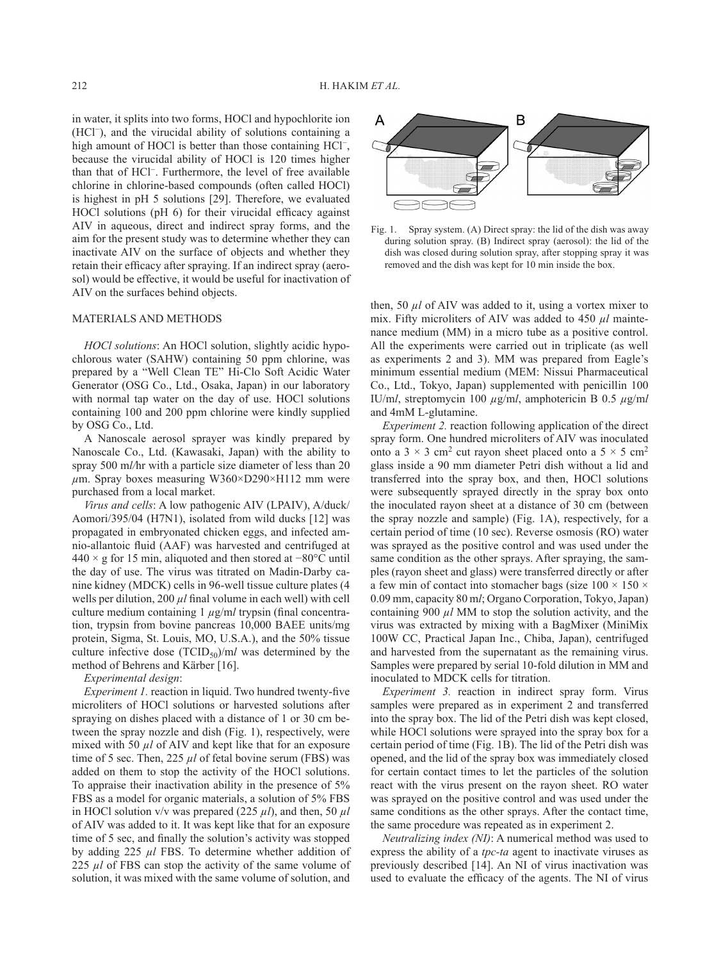in water, it splits into two forms, HOCl and hypochlorite ion (HCl−), and the virucidal ability of solutions containing a high amount of HOCl is better than those containing HCl−, because the virucidal ability of HOCl is 120 times higher than that of HCl−. Furthermore, the level of free available chlorine in chlorine-based compounds (often called HOCl) is highest in pH 5 solutions [\[29\]](#page-4-6). Therefore, we evaluated HOCl solutions (pH 6) for their virucidal efficacy against AIV in aqueous, direct and indirect spray forms, and the aim for the present study was to determine whether they can inactivate AIV on the surface of objects and whether they retain their efficacy after spraying. If an indirect spray (aerosol) would be effective, it would be useful for inactivation of AIV on the surfaces behind objects.

### MATERIALS AND METHODS

*HOCl solutions*: An HOCl solution, slightly acidic hypochlorous water (SAHW) containing 50 ppm chlorine, was prepared by a "Well Clean TE" Hi-Clo Soft Acidic Water Generator (OSG Co., Ltd., Osaka, Japan) in our laboratory with normal tap water on the day of use. HOCl solutions containing 100 and 200 ppm chlorine were kindly supplied by OSG Co., Ltd.

A Nanoscale aerosol sprayer was kindly prepared by Nanoscale Co., Ltd. (Kawasaki, Japan) with the ability to spray 500 m*l/*hr with a particle size diameter of less than 20 *µ*m. Spray boxes measuring W360×D290×H112 mm were purchased from a local market.

*Virus and cells*: A low pathogenic AIV (LPAIV), A/duck/ Aomori/395/04 (H7N1), isolated from wild ducks [[12](#page-4-7)] was propagated in embryonated chicken eggs, and infected amnio-allantoic fluid (AAF) was harvested and centrifuged at 440 × g for 15 min, aliquoted and then stored at −80°C until the day of use. The virus was titrated on Madin-Darby canine kidney (MDCK) cells in 96-well tissue culture plates (4 wells per dilution, 200  $\mu$ *l* final volume in each well) with cell culture medium containing 1 *µ*g/m*l* trypsin (final concentration, trypsin from bovine pancreas 10,000 BAEE units/mg protein, Sigma, St. Louis, MO, U.S.A.), and the 50% tissue culture infective dose  $(TCID_{50})/ml$  was determined by the method of Behrens and Kärber [[16](#page-4-8)].

## *Experimental design*:

*Experiment 1.* reaction in liquid. Two hundred twenty-five microliters of HOCl solutions or harvested solutions after spraying on dishes placed with a distance of 1 or 30 cm between the spray nozzle and dish (Fig. 1), respectively, were mixed with 50  $\mu$ *l* of AIV and kept like that for an exposure time of 5 sec. Then, 225 *µl* of fetal bovine serum (FBS) was added on them to stop the activity of the HOCl solutions. To appraise their inactivation ability in the presence of 5% FBS as a model for organic materials, a solution of 5% FBS in HOCl solution v/v was prepared (225  $\mu$ *l*), and then, 50  $\mu$ *l* of AIV was added to it. It was kept like that for an exposure time of 5 sec, and finally the solution's activity was stopped by adding 225 *µl* FBS. To determine whether addition of 225 *ul* of FBS can stop the activity of the same volume of solution, it was mixed with the same volume of solution, and



Fig. 1. Spray system. (A) Direct spray: the lid of the dish was away during solution spray. (B) Indirect spray (aerosol): the lid of the dish was closed during solution spray, after stopping spray it was removed and the dish was kept for 10 min inside the box.

then, 50 *µl* of AIV was added to it, using a vortex mixer to mix. Fifty microliters of AIV was added to 450  $\mu$ *l* maintenance medium (MM) in a micro tube as a positive control. All the experiments were carried out in triplicate (as well as experiments 2 and 3). MM was prepared from Eagle's minimum essential medium (MEM: Nissui Pharmaceutical Co., Ltd., Tokyo, Japan) supplemented with penicillin 100 IU/m*l*, streptomycin 100 *µ*g/m*l*, amphotericin B 0.5 *µ*g/m*l* and 4mM L-glutamine.

*Experiment 2.* reaction following application of the direct spray form. One hundred microliters of AIV was inoculated onto a  $3 \times 3$  cm<sup>2</sup> cut rayon sheet placed onto a  $5 \times 5$  cm<sup>2</sup> glass inside a 90 mm diameter Petri dish without a lid and transferred into the spray box, and then, HOCl solutions were subsequently sprayed directly in the spray box onto the inoculated rayon sheet at a distance of 30 cm (between the spray nozzle and sample) (Fig. 1A), respectively, for a certain period of time (10 sec). Reverse osmosis (RO) water was sprayed as the positive control and was used under the same condition as the other sprays. After spraying, the samples (rayon sheet and glass) were transferred directly or after a few min of contact into stomacher bags (size  $100 \times 150 \times$ 0.09 mm, capacity 80 m*l*; Organo Corporation, Tokyo, Japan) containing 900 *µl* MM to stop the solution activity, and the virus was extracted by mixing with a BagMixer (MiniMix 100W CC, Practical Japan Inc., Chiba, Japan), centrifuged and harvested from the supernatant as the remaining virus. Samples were prepared by serial 10-fold dilution in MM and inoculated to MDCK cells for titration.

*Experiment 3.* reaction in indirect spray form. Virus samples were prepared as in experiment 2 and transferred into the spray box. The lid of the Petri dish was kept closed, while HOCl solutions were sprayed into the spray box for a certain period of time (Fig. 1B). The lid of the Petri dish was opened, and the lid of the spray box was immediately closed for certain contact times to let the particles of the solution react with the virus present on the rayon sheet. RO water was sprayed on the positive control and was used under the same conditions as the other sprays. After the contact time, the same procedure was repeated as in experiment 2.

*Neutralizing index (NI)*: A numerical method was used to express the ability of a *tpc-ta* agent to inactivate viruses as previously described [[14](#page-4-9)]. An NI of virus inactivation was used to evaluate the efficacy of the agents. The NI of virus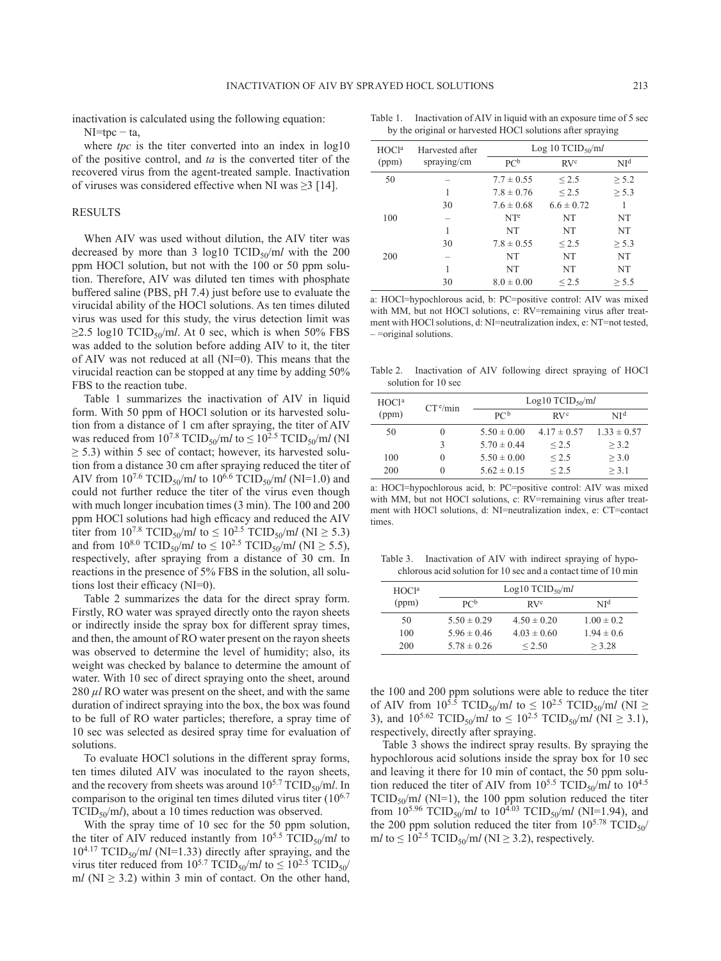inactivation is calculated using the following equation:  $NI = tpc - ta$ ,

of viruses was considered effective when NI was  $\geq$ 3 [\[14\]](#page-4-9).

where *tpc* is the titer converted into an index in  $log10$ of the positive control, and *ta* is the converted titer of the recovered virus from the agent-treated sample. Inactivation

#### **RESULTS**

When AIV was used without dilution, the AIV titer was decreased by more than 3  $\log 10$  TCID<sub>50</sub>/ml with the 200 ppm HOCl solution, but not with the 100 or 50 ppm solution. Therefore, AIV was diluted ten times with phosphate buffered saline (PBS, pH 7.4) just before use to evaluate the virucidal ability of the HOCl solutions. As ten times diluted virus was used for this study, the virus detection limit was  $\geq$ 2.5 log10 TCID<sub>50</sub>/ml. At 0 sec, which is when 50% FBS was added to the solution before adding AIV to it, the titer of AIV was not reduced at all (NI=0). This means that the virucidal reaction can be stopped at any time by adding 50% FBS to the reaction tube.

Table 1 summarizes the inactivation of AIV in liquid form. With 50 ppm of HOCl solution or its harvested solution from a distance of 1 cm after spraying, the titer of AIV was reduced from  $10^{7.8}$  TCID<sub>50</sub>/ml to  $\leq 10^{2.5}$  TCID<sub>50</sub>/ml (NI  $\geq$  5.3) within 5 sec of contact; however, its harvested solution from a distance 30 cm after spraying reduced the titer of AIV from  $10^{7.6}$  TCID<sub>50</sub>/m*l* to  $10^{6.6}$  TCID<sub>50</sub>/m*l* (NI=1.0) and could not further reduce the titer of the virus even though with much longer incubation times (3 min). The 100 and 200 ppm HOCl solutions had high efficacy and reduced the AIV titer from  $10^{7.8}$  TCID<sub>50</sub>/ml to  $\leq 10^{2.5}$  TCID<sub>50</sub>/ml (NI  $\geq 5.3$ ) and from  $10^{8.0}$  TCID<sub>50</sub>/m*l* to  $\leq 10^{2.5}$  TCID<sub>50</sub>/m*l* (NI  $\geq 5.5$ ), respectively, after spraying from a distance of 30 cm. In reactions in the presence of 5% FBS in the solution, all solutions lost their efficacy (NI=0).

Table 2 summarizes the data for the direct spray form. Firstly, RO water was sprayed directly onto the rayon sheets or indirectly inside the spray box for different spray times, and then, the amount of RO water present on the rayon sheets was observed to determine the level of humidity; also, its weight was checked by balance to determine the amount of water. With 10 sec of direct spraying onto the sheet, around 280  $\mu$ *l* RO water was present on the sheet, and with the same duration of indirect spraying into the box, the box was found to be full of RO water particles; therefore, a spray time of 10 sec was selected as desired spray time for evaluation of solutions.

To evaluate HOCl solutions in the different spray forms, ten times diluted AIV was inoculated to the rayon sheets, and the recovery from sheets was around  $10^{5.7}$  TCID<sub>50</sub>/m*l*. In comparison to the original ten times diluted virus titer  $(10^{6.7})$ TCID<sub>50</sub>/m*l*), about a 10 times reduction was observed.

With the spray time of 10 sec for the 50 ppm solution, the titer of AIV reduced instantly from  $10^{5.5}$  TCID<sub>50</sub>/ml to  $10^{4.17}$  TCID<sub>50</sub>/ml (NI=1.33) directly after spraying, and the virus titer reduced from  $10^{5.7}$  TCID<sub>50</sub>/ml to  $\leq 10^{2.5}$  TCID<sub>50</sub>/ ml ( $NI \geq 3.2$ ) within 3 min of contact. On the other hand,

Table 1. Inactivation of AIV in liquid with an exposure time of 5 sec by the original or harvested HOCl solutions after spraying

| HOCl <sup>a</sup><br>(ppm) | Harvested after<br>spraying/cm | Log 10 TCID <sub>50</sub> /ml |                 |                 |
|----------------------------|--------------------------------|-------------------------------|-----------------|-----------------|
|                            |                                | PC <sup>b</sup>               | RV <sup>c</sup> | NI <sup>d</sup> |
| 50                         |                                | $7.7 \pm 0.55$                | ${}_{\leq 2.5}$ | > 5.2           |
|                            | 1                              | $7.8 \pm 0.76$                | $\leq 2.5$      | $\geq$ 5.3      |
|                            | 30                             | $7.6 \pm 0.68$                | $6.6 \pm 0.72$  | 1               |
| 100                        |                                | NT <sup>e</sup>               | <b>NT</b>       | NT              |
|                            | 1                              | <b>NT</b>                     | <b>NT</b>       | NT              |
|                            | 30                             | $7.8 \pm 0.55$                | ${}_{\leq 2.5}$ | > 5.3           |
| 200                        |                                | NT                            | <b>NT</b>       | <b>NT</b>       |
|                            | 1                              | <b>NT</b>                     | <b>NT</b>       | <b>NT</b>       |
|                            | 30                             | $8.0 \pm 0.00$                | $\leq 2.5$      | > 5.5           |

a: HOCl=hypochlorous acid, b: PC=positive control: AIV was mixed with MM, but not HOCl solutions, c: RV=remaining virus after treatment with HOCl solutions, d: NI=neutralization index, e: NT=not tested, – =original solutions.

Table 2. Inactivation of AIV following direct spraying of HOCl solution for 10 sec

| HOCl <sup>a</sup> | $CT^e/min$       | Log10 TCID <sub>50</sub> /ml |                 |                 |
|-------------------|------------------|------------------------------|-----------------|-----------------|
| (ppm)             |                  | PC <sup>b</sup>              | RV <sup>c</sup> | NI₫             |
| 50                | $\left( \right)$ | $5.50 \pm 0.00$              | $4.17 \pm 0.57$ | $1.33 \pm 0.57$ |
|                   |                  | $5.70 \pm 0.44$              | < 2.5           | > 3.2           |
| 100               | $\left( \right)$ | $5.50 \pm 0.00$              | < 2.5           | > 3.0           |
| 200               | $\theta$         | $5.62 \pm 0.15$              | < 2.5           | > 3.1           |

a: HOCl=hypochlorous acid, b: PC=positive control: AIV was mixed with MM, but not HOCl solutions, c: RV=remaining virus after treatment with HOCl solutions, d: NI=neutralization index, e: CT=contact times.

Table 3. Inactivation of AIV with indirect spraying of hypochlorous acid solution for 10 sec and a contact time of 10 min

| HOCl <sup>a</sup> |                 | $Log10$ TCID <sub>50</sub> /ml |                |
|-------------------|-----------------|--------------------------------|----------------|
| (ppm)             | PC <sup>b</sup> | RV <sup>c</sup>                | $N^{d}$        |
| 50                | $5.50 \pm 0.29$ | $4.50 \pm 0.20$                | $1.00 \pm 0.2$ |
| 100               | $5.96 \pm 0.46$ | $4.03 \pm 0.60$                | $1.94 \pm 0.6$ |
| 200               | $5.78 \pm 0.26$ | < 2.50                         | $>$ 3.28       |

the 100 and 200 ppm solutions were able to reduce the titer of AIV from  $10^{\frac{5}{5}}$  TCID<sub>50</sub>/ml to  $\leq 10^{2.5}$  TCID<sub>50</sub>/ml (NI  $\geq$ 3), and  $10^{5.62}$  TCID<sub>50</sub>/m*l* to  $\leq 10^{2.5}$  TCID<sub>50</sub>/m*l* (NI  $\geq 3.1$ ), respectively, directly after spraying.

Table 3 shows the indirect spray results. By spraying the hypochlorous acid solutions inside the spray box for 10 sec and leaving it there for 10 min of contact, the 50 ppm solution reduced the titer of AIV from  $10^{5.5}$  TCID<sub>50</sub>/ml to  $10^{4.5}$  $TCID_{50}/ml (NI=1)$ , the 100 ppm solution reduced the titer from  $10^{5.96}$  TCID<sub>50</sub>/ml to  $10^{4.03}$  TCID<sub>50</sub>/ml (NI=1.94), and the 200 ppm solution reduced the titer from  $10^{5.78}$  TCID<sub>50</sub>/ m*l* to  $\leq 10^{2.5}$  TCID<sub>50</sub>/m*l* (NI  $\geq$  3.2), respectively.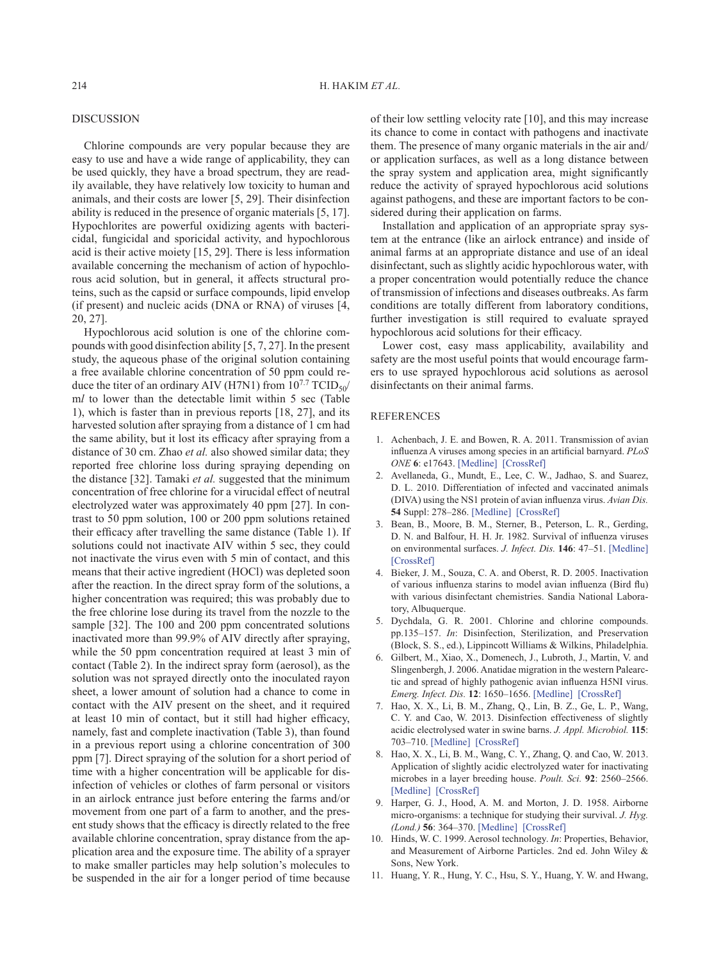## **DISCUSSION**

Chlorine compounds are very popular because they are easy to use and have a wide range of applicability, they can be used quickly, they have a broad spectrum, they are readily available, they have relatively low toxicity to human and animals, and their costs are lower [[5, 29](#page-3-7)]. Their disinfection ability is reduced in the presence of organic materials [[5, 17\]](#page-3-7). Hypochlorites are powerful oxidizing agents with bactericidal, fungicidal and sporicidal activity, and hypochlorous acid is their active moiety [\[15, 29\]](#page-4-3). There is less information available concerning the mechanism of action of hypochlorous acid solution, but in general, it affects structural proteins, such as the capsid or surface compounds, lipid envelop (if present) and nucleic acids (DNA or RNA) of viruses [\[4,](#page-3-2) [20, 27](#page-3-2)].

Hypochlorous acid solution is one of the chlorine compounds with good disinfection ability [\[5, 7, 27](#page-3-7)]. In the present study, the aqueous phase of the original solution containing a free available chlorine concentration of 50 ppm could reduce the titer of an ordinary AIV (H7N1) from  $10^{7.7}$  TCID<sub>50</sub>/ m*l* to lower than the detectable limit within 5 sec (Table 1), which is faster than in previous reports [[18, 27\]](#page-4-10), and its harvested solution after spraying from a distance of 1 cm had the same ability, but it lost its efficacy after spraying from a distance of 30 cm. Zhao *et al.* also showed similar data; they reported free chlorine loss during spraying depending on the distance [[32](#page-4-11)]. Tamaki *et al.* suggested that the minimum concentration of free chlorine for a virucidal effect of neutral electrolyzed water was approximately 40 ppm [[27](#page-4-12)]. In contrast to 50 ppm solution, 100 or 200 ppm solutions retained their efficacy after travelling the same distance (Table 1). If solutions could not inactivate AIV within 5 sec, they could not inactivate the virus even with 5 min of contact, and this means that their active ingredient (HOCl) was depleted soon after the reaction. In the direct spray form of the solutions, a higher concentration was required; this was probably due to the free chlorine lose during its travel from the nozzle to the sample [\[32\]](#page-4-11). The 100 and 200 ppm concentrated solutions inactivated more than 99.9% of AIV directly after spraying, while the 50 ppm concentration required at least 3 min of contact (Table 2). In the indirect spray form (aerosol), as the solution was not sprayed directly onto the inoculated rayon sheet, a lower amount of solution had a chance to come in contact with the AIV present on the sheet, and it required at least 10 min of contact, but it still had higher efficacy, namely, fast and complete inactivation (Table 3), than found in a previous report using a chlorine concentration of 300 ppm [[7\]](#page-3-8). Direct spraying of the solution for a short period of time with a higher concentration will be applicable for disinfection of vehicles or clothes of farm personal or visitors in an airlock entrance just before entering the farms and/or movement from one part of a farm to another, and the present study shows that the efficacy is directly related to the free available chlorine concentration, spray distance from the application area and the exposure time. The ability of a sprayer to make smaller particles may help solution's molecules to be suspended in the air for a longer period of time because

of their low settling velocity rate [\[10\]](#page-3-9), and this may increase its chance to come in contact with pathogens and inactivate them. The presence of many organic materials in the air and/ or application surfaces, as well as a long distance between the spray system and application area, might significantly reduce the activity of sprayed hypochlorous acid solutions against pathogens, and these are important factors to be considered during their application on farms.

Installation and application of an appropriate spray system at the entrance (like an airlock entrance) and inside of animal farms at an appropriate distance and use of an ideal disinfectant, such as slightly acidic hypochlorous water, with a proper concentration would potentially reduce the chance of transmission of infections and diseases outbreaks. As farm conditions are totally different from laboratory conditions, further investigation is still required to evaluate sprayed hypochlorous acid solutions for their efficacy.

Lower cost, easy mass applicability, availability and safety are the most useful points that would encourage farmers to use sprayed hypochlorous acid solutions as aerosol disinfectants on their animal farms.

## REFERENCES

- <span id="page-3-0"></span>1. Achenbach, J. E. and Bowen, R. A. 2011. Transmission of avian influenza A viruses among species in an artificial barnyard. *PLoS ONE* **6**: e17643. [\[Medline\]](http://www.ncbi.nlm.nih.gov/pubmed/21483843?dopt=Abstract) [\[CrossRef\]](http://dx.doi.org/10.1371/journal.pone.0017643)
- <span id="page-3-3"></span>2. Avellaneda, G., Mundt, E., Lee, C. W., Jadhao, S. and Suarez, D. L. 2010. Differentiation of infected and vaccinated animals (DIVA) using the NS1 protein of avian influenza virus. *Avian Dis.* **54** Suppl: 278–286. [\[Medline\]](http://www.ncbi.nlm.nih.gov/pubmed/20521645?dopt=Abstract) [\[CrossRef\]](http://dx.doi.org/10.1637/8644-020409-Reg.1)
- <span id="page-3-1"></span>3. Bean, B., Moore, B. M., Sterner, B., Peterson, L. R., Gerding, D. N. and Balfour, H. H. Jr. 1982. Survival of influenza viruses on environmental surfaces. *J. Infect. Dis.* **146**: 47–51. [\[Medline\]](http://www.ncbi.nlm.nih.gov/pubmed/6282993?dopt=Abstract) [\[CrossRef\]](http://dx.doi.org/10.1093/infdis/146.1.47)
- <span id="page-3-2"></span>4. Bieker, J. M., Souza, C. A. and Oberst, R. D. 2005. Inactivation of various influenza starins to model avian influenza (Bird flu) with various disinfectant chemistries. Sandia National Laboratory, Albuquerque.
- <span id="page-3-7"></span>5. Dychdala, G. R. 2001. Chlorine and chlorine compounds. pp.135–157. *In*: Disinfection, Sterilization, and Preservation (Block, S. S., ed.), Lippincott Williams & Wilkins, Philadelphia.
- <span id="page-3-4"></span>6. Gilbert, M., Xiao, X., Domenech, J., Lubroth, J., Martin, V. and Slingenbergh, J. 2006. Anatidae migration in the western Palearctic and spread of highly pathogenic avian influenza H5NI virus. *Emerg. Infect. Dis.* **12**: 1650–1656. [\[Medline\]](http://www.ncbi.nlm.nih.gov/pubmed/17283613?dopt=Abstract) [\[CrossRef\]](http://dx.doi.org/10.3201/eid1211.060223)
- <span id="page-3-8"></span>7. Hao, X. X., Li, B. M., Zhang, Q., Lin, B. Z., Ge, L. P., Wang, C. Y. and Cao, W. 2013. Disinfection effectiveness of slightly acidic electrolysed water in swine barns. *J. Appl. Microbiol.* **115**: 703–710. [\[Medline\]](http://www.ncbi.nlm.nih.gov/pubmed/23742207?dopt=Abstract) [\[CrossRef\]](http://dx.doi.org/10.1111/jam.12274)
- <span id="page-3-6"></span>8. Hao, X. X., Li, B. M., Wang, C. Y., Zhang, Q. and Cao, W. 2013. Application of slightly acidic electrolyzed water for inactivating microbes in a layer breeding house. *Poult. Sci.* **92**: 2560–2566. [\[Medline\]](http://www.ncbi.nlm.nih.gov/pubmed/24046401?dopt=Abstract) [\[CrossRef\]](http://dx.doi.org/10.3382/ps.2013-03117)
- <span id="page-3-5"></span>9. Harper, G. J., Hood, A. M. and Morton, J. D. 1958. Airborne micro-organisms: a technique for studying their survival. *J. Hyg. (Lond.)* **56**: 364–370. [\[Medline\]](http://www.ncbi.nlm.nih.gov/pubmed/13587986?dopt=Abstract) [\[CrossRef\]](http://dx.doi.org/10.1017/S0022172400037852)
- <span id="page-3-9"></span>10. Hinds, W. C. 1999. Aerosol technology. *In*: Properties, Behavior, and Measurement of Airborne Particles. 2nd ed. John Wiley & Sons, New York.
- 11. Huang, Y. R., Hung, Y. C., Hsu, S. Y., Huang, Y. W. and Hwang,